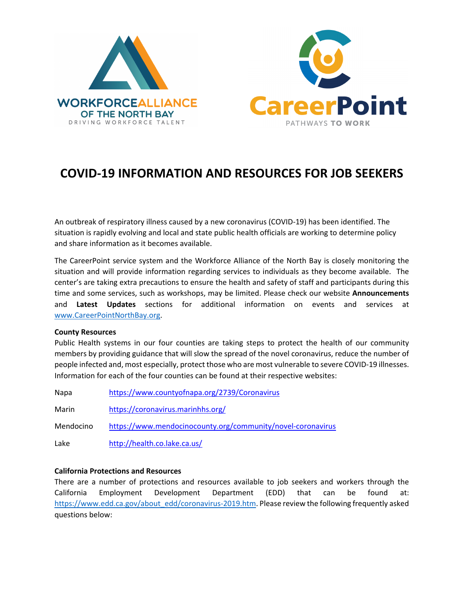



# **COVID-19 INFORMATION AND RESOURCES FOR JOB SEEKERS**

An outbreak of respiratory illness caused by a new coronavirus (COVID-19) has been identified. The situation is rapidly evolving and local and state public health officials are working to determine policy and share information as it becomes available.

The CareerPoint service system and the Workforce Alliance of the North Bay is closely monitoring the situation and will provide information regarding services to individuals as they become available. The center's are taking extra precautions to ensure the health and safety of staff and participants during this time and some services, such as workshops, may be limited. Please check our website **Announcements** and **Latest Updates** sections for additional information on events and services at [www.CareerPointNorthBay.org.](http://www.careerpointnorthbay.org/)

### **County Resources**

Public Health systems in our four counties are taking steps to protect the health of our community members by providing guidance that will slow the spread of the novel coronavirus, reduce the number of people infected and, most especially, protect those who are most vulnerable to severe COVID-19 illnesses. Information for each of the four counties can be found at their respective websites:

Napa <https://www.countyofnapa.org/2739/Coronavirus> Marin <https://coronavirus.marinhhs.org/> Mendocino <https://www.mendocinocounty.org/community/novel-coronavirus> Lake <http://health.co.lake.ca.us/>

### **California Protections and Resources**

There are a number of protections and resources available to job seekers and workers through the California Employment Development Department (EDD) that can be found at: [https://www.edd.ca.gov/about\\_edd/coronavirus-2019.htm.](https://www.edd.ca.gov/about_edd/coronavirus-2019.htm) Please review the following frequently asked questions below: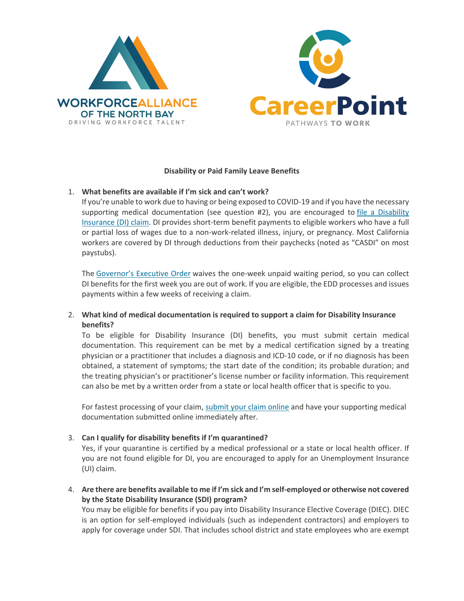



### **Disability or Paid Family Leave Benefits**

### 1. **What benefits are available if I'm sick and can't work?**

If you're unable to work due to having or being exposed to COVID-19 and if you have the necessary supporting medical documentation (see question #2), you are encouraged to [file a Disability](https://www.edd.ca.gov/Disability/How_to_File_a_DI_Claim_in_SDI_Online.htm)  [Insurance \(DI\) claim.](https://www.edd.ca.gov/Disability/How_to_File_a_DI_Claim_in_SDI_Online.htm) DI provides short-term benefit payments to eligible workers who have a full or partial loss of wages due to a non-work-related illness, injury, or pregnancy. Most California workers are covered by DI through deductions from their paychecks (noted as "CASDI" on most paystubs).

The [Governor's Executive Order](https://www.gov.ca.gov/2020/03/12/governor-newsom-issues-new-executive-order-further-enhancing-state-and-local-governments-ability-to-respond-to-covid-19-pandemic/) waives the one-week unpaid waiting period, so you can collect DI benefits for the first week you are out of work. If you are eligible, the EDD processes and issues payments within a few weeks of receiving a claim.

# 2. **What kind of medical documentation is required to support a claim for Disability Insurance benefits?**

To be eligible for Disability Insurance (DI) benefits, you must submit certain medical documentation. This requirement can be met by a medical certification signed by a treating physician or a practitioner that includes a diagnosis and ICD-10 code, or if no diagnosis has been obtained, a statement of symptoms; the start date of the condition; its probable duration; and the treating physician's or practitioner's license number or facility information. This requirement can also be met by a written order from a state or local health officer that is specific to you.

For fastest processing of your claim, [submit your claim online](https://www.edd.ca.gov/Disability/SDI_Online.htm) and have your supporting medical documentation submitted online immediately after.

### 3. **Can I qualify for disability benefits if I'm quarantined?**

Yes, if your quarantine is certified by a medical professional or a state or local health officer. If you are not found eligible for DI, you are encouraged to apply for an Unemployment Insurance (UI) claim.

4. **Are there are benefits available to me if I'm sick and I'm self-employed or otherwise not covered by the State Disability Insurance (SDI) program?**

You may be eligible for benefits if you pay into Disability Insurance Elective Coverage (DIEC). DIEC is an option for self-employed individuals (such as independent contractors) and employers to apply for coverage under SDI. That includes school district and state employees who are exempt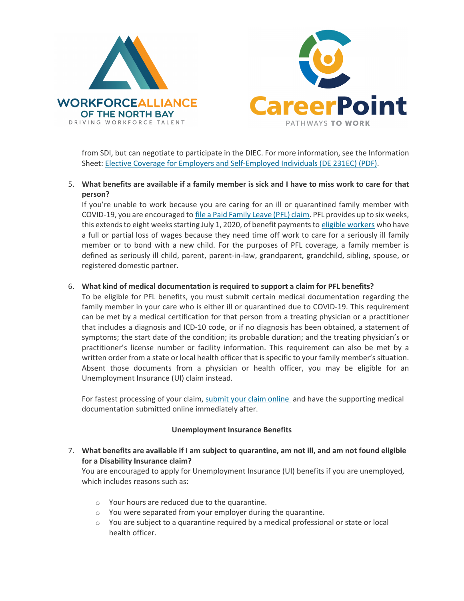

from SDI, but can negotiate to participate in the DIEC. For more information, see the Information Sheet: [Elective Coverage for Employers and Self-Employed Individuals \(DE 231EC\) \(PDF\).](https://www.edd.ca.gov/pdf_pub_ctr/de231ec.pdf)

# 5. **What benefits are available if a family member is sick and I have to miss work to care for that person?**

If you're unable to work because you are caring for an ill or quarantined family member with COVID-19, you are encouraged to [file a Paid Family Leave \(PFL\) claim.](https://www.edd.ca.gov/Disability/How_to_File_a_PFL_Claim_in_SDI_Online.htm) PFL provides up to six weeks, this extends to eight weeks starting July 1, 2020, of benefit payments to [eligible workers](https://www.edd.ca.gov/Disability/Am_I_Eligible_for_PFL_Benefits.htm) who have a full or partial loss of wages because they need time off work to care for a seriously ill family member or to bond with a new child. For the purposes of PFL coverage, a family member is defined as seriously ill child, parent, parent-in-law, grandparent, grandchild, sibling, spouse, or registered domestic partner.

### 6. **What kind of medical documentation is required to support a claim for PFL benefits?**

To be eligible for PFL benefits, you must submit certain medical documentation regarding the family member in your care who is either ill or quarantined due to COVID-19. This requirement can be met by a medical certification for that person from a treating physician or a practitioner that includes a diagnosis and ICD-10 code, or if no diagnosis has been obtained, a statement of symptoms; the start date of the condition; its probable duration; and the treating physician's or practitioner's license number or facility information. This requirement can also be met by a written order from a state or local health officer that is specific to your family member's situation. Absent those documents from a physician or health officer, you may be eligible for an Unemployment Insurance (UI) claim instead.

For fastest processing of your claim, [submit your claim online](https://www.edd.ca.gov/Disability/SDI_Online.htm) and have the supporting medical documentation submitted online immediately after.

#### **Unemployment Insurance Benefits**

7. **What benefits are available if I am subject to quarantine, am not ill, and am not found eligible for a Disability Insurance claim?**

You are encouraged to apply for Unemployment Insurance (UI) benefits if you are unemployed, which includes reasons such as:

- o Your hours are reduced due to the quarantine.
- o You were separated from your employer during the quarantine.
- $\circ$  You are subject to a quarantine required by a medical professional or state or local health officer.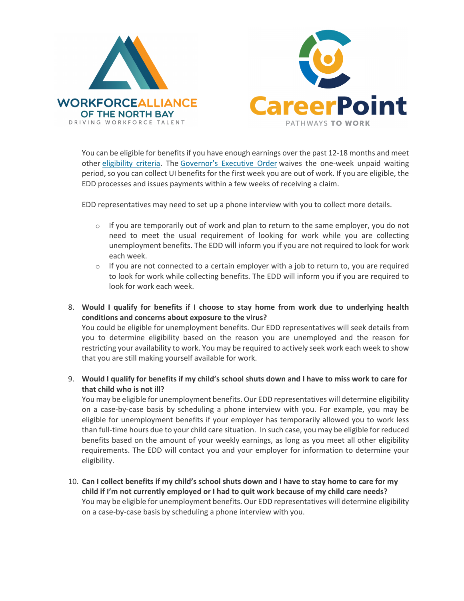

You can be eligible for benefits if you have enough earnings over the past 12-18 months and meet other [eligibility criteria.](https://www.edd.ca.gov/Unemployment/Eligibility.htm) The [Governor's Executive Order](https://www.gov.ca.gov/2020/03/12/governor-newsom-issues-new-executive-order-further-enhancing-state-and-local-governments-ability-to-respond-to-covid-19-pandemic/) waives the one-week unpaid waiting period, so you can collect UI benefits for the first week you are out of work. If you are eligible, the EDD processes and issues payments within a few weeks of receiving a claim.

EDD representatives may need to set up a phone interview with you to collect more details.

- $\circ$  If you are temporarily out of work and plan to return to the same employer, you do not need to meet the usual requirement of looking for work while you are collecting unemployment benefits. The EDD will inform you if you are not required to look for work each week.
- $\circ$  If you are not connected to a certain employer with a job to return to, you are required to look for work while collecting benefits. The EDD will inform you if you are required to look for work each week.
- 8. **Would I qualify for benefits if I choose to stay home from work due to underlying health conditions and concerns about exposure to the virus?**

You could be eligible for unemployment benefits. Our EDD representatives will seek details from you to determine eligibility based on the reason you are unemployed and the reason for restricting your availability to work. You may be required to actively seek work each week to show that you are still making yourself available for work.

9. **Would I qualify for benefits if my child's school shuts down and I have to miss work to care for that child who is not ill?**

You may be eligible for unemployment benefits. Our EDD representatives will determine eligibility on a case-by-case basis by scheduling a phone interview with you. For example, you may be eligible for unemployment benefits if your employer has temporarily allowed you to work less than full-time hours due to your child care situation. In such case, you may be eligible for reduced benefits based on the amount of your weekly earnings, as long as you meet all other eligibility requirements. The EDD will contact you and your employer for information to determine your eligibility.

10. **Can I collect benefits if my child's school shuts down and I have to stay home to care for my child if I'm not currently employed or I had to quit work because of my child care needs?** You may be eligible for unemployment benefits. Our EDD representatives will determine eligibility on a case-by-case basis by scheduling a phone interview with you.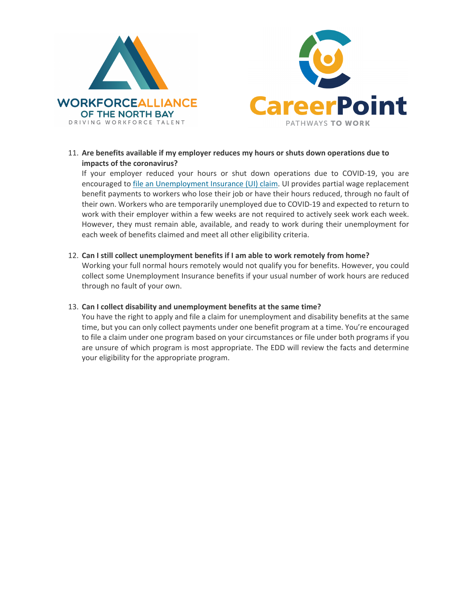



# 11. **Are benefits available if my employer reduces my hours or shuts down operations due to impacts of the coronavirus?**

If your employer reduced your hours or shut down operations due to COVID-19, you are encouraged to [file an Unemployment Insurance \(UI\) claim.](https://www.edd.ca.gov/Unemployment/Filing_a_Claim.htm) UI provides partial wage replacement benefit payments to workers who lose their job or have their hours reduced, through no fault of their own. Workers who are temporarily unemployed due to COVID-19 and expected to return to work with their employer within a few weeks are not required to actively seek work each week. However, they must remain able, available, and ready to work during their unemployment for each week of benefits claimed and meet all other eligibility criteria.

### 12. **Can I still collect unemployment benefits if I am able to work remotely from home?**

Working your full normal hours remotely would not qualify you for benefits. However, you could collect some Unemployment Insurance benefits if your usual number of work hours are reduced through no fault of your own.

### 13. **Can I collect disability and unemployment benefits at the same time?**

You have the right to apply and file a claim for unemployment and disability benefits at the same time, but you can only collect payments under one benefit program at a time. You're encouraged to file a claim under one program based on your circumstances or file under both programs if you are unsure of which program is most appropriate. The EDD will review the facts and determine your eligibility for the appropriate program.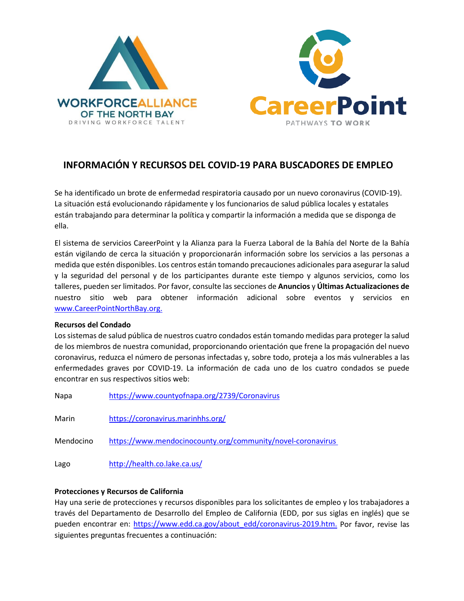



# **INFORMACIÓN Y RECURSOS DEL COVID-19 PARA BUSCADORES DE EMPLEO**

Se ha identificado un brote de enfermedad respiratoria causado por un nuevo coronavirus (COVID-19). La situación está evolucionando rápidamente y los funcionarios de salud pública locales y estatales están trabajando para determinar la política y compartir la información a medida que se disponga de ella.

El sistema de servicios CareerPoint y la Alianza para la Fuerza Laboral de la Bahía del Norte de la Bahía están vigilando de cerca la situación y proporcionarán información sobre los servicios a las personas a medida que estén disponibles. Los centros están tomando precauciones adicionales para asegurar la salud y la seguridad del personal y de los participantes durante este tiempo y algunos servicios, como los talleres, pueden ser limitados. Por favor, consulte las secciones de **Anuncios** y **Últimas Actualizaciones de**  nuestro sitio web para obtener información adicional sobre eventos y servicios en [www.CareerPointNorthBay.org.](http://www.careerpointnorthbay.org/)

### **Recursos del Condado**

Los sistemas de salud pública de nuestros cuatro condados están tomando medidas para proteger la salud de los miembros de nuestra comunidad, proporcionando orientación que frene la propagación del nuevo coronavirus, reduzca el número de personas infectadas y, sobre todo, proteja a los más vulnerables a las enfermedades graves por COVID-19. La información de cada uno de los cuatro condados se puede encontrar en sus respectivos sitios web:

| Napa      | https://www.countyofnapa.org/2739/Coronavirus               |
|-----------|-------------------------------------------------------------|
| Marin     | https://coronavirus.marinhhs.org/                           |
| Mendocino | https://www.mendocinocounty.org/community/novel-coronavirus |
| Lago      | http://health.co.lake.ca.us/                                |

### **Protecciones y Recursos de California**

Hay una serie de protecciones y recursos disponibles para los solicitantes de empleo y los trabajadores a través del Departamento de Desarrollo del Empleo de California (EDD, por sus siglas en inglés) que se pueden encontrar en: [https://www.edd.ca.gov/about\\_edd/coronavirus-2019.htm.](https://www.edd.ca.gov/about_edd/coronavirus-2019.htm) Por favor, revise las siguientes preguntas frecuentes a continuación: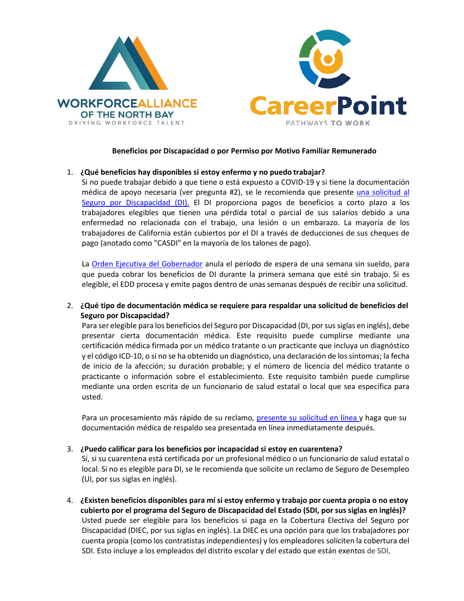

### **Beneficios por Discapacidad o por Permiso por Motivo Familiar Remunerado**

# 1. **¿Qué beneficios hay disponibles si estoy enfermo y no puedo trabajar?**

Si no puede trabajar debido a que tiene o está expuesto a COVID-19 y si tiene la documentación médica de apoyo necesaria (ver pregunta #2), se le recomienda que presente [una solicitud](https://www.edd.ca.gov/Disability/How_to_File_a_DI_Claim_in_SDI_Online.htm) al Seguro por [Discapacidad](https://www.edd.ca.gov/Disability/How_to_File_a_DI_Claim_in_SDI_Online.htm) [\(DI\).](https://www.edd.ca.gov/Disability/How_to_File_a_DI_Claim_in_SDI_Online.htm) El DI proporciona pagos de beneficios a corto plazo a los trabajadores elegibles que tienen una pérdida total o parcial de sus salarios debido a una enfermedad no relacionada con el trabajo, una lesión o un embarazo. La mayoría de los trabajadores de California están cubiertos por el DI a través de deducciones de sus cheques de pago (anotado como "CASDI" en la mayoría de los talones de pago).

La [Orden Ejecutiva del Gobernador](https://www.gov.ca.gov/2020/03/12/governor-newsom-issues-new-executive-order-further-enhancing-state-and-local-governments-ability-to-respond-to-covid-19-pandemic/) anula el período de espera de una semana sin sueldo, para que pueda cobrar los beneficios de DI durante la primera semana que esté sin trabajo. Si es elegible, el EDD procesa y emite pagos dentro de unas semanas después de recibir una solicitud.

# 2. **¿Qué tipo de documentación médica se requiere para respaldar una solicitud de beneficios del Seguro por Discapacidad?**

Para ser elegible para los beneficios del Seguro por Discapacidad (DI, por sus siglas en inglés), debe presentar cierta documentación médica. Este requisito puede cumplirse mediante una certificación médica firmada por un médico tratante o un practicante que incluya un diagnóstico y el código ICD-10, o si no se ha obtenido un diagnóstico, una declaración de los síntomas; la fecha de inicio de la afección; su duración probable; y el número de licencia del médico tratante o practicante o información sobre el establecimiento. Este requisito también puede cumplirse mediante una orden escrita de un funcionario de salud estatal o local que sea específica para usted.

Para un procesamiento más rápido de su reclamo, [presente su solicitud](https://www.edd.ca.gov/Disability/SDI_Online.htm) en línea y haga que su documentación médica de respaldo sea presentada en línea inmediatamente después.

# 3. **¿Puedo calificar para los beneficios por incapacidad si estoy en cuarentena?**

Sí, si su cuarentena está certificada por un profesional médico o un funcionario de salud estatal o local. Si no es elegible para DI, se le recomienda que solicite un reclamo de Seguro de Desempleo (UI, por sus siglas en inglés).

4. **¿Existen beneficios disponibles para mí si estoy enfermo y trabajo por cuenta propia o no estoy cubierto por el programa del Seguro de Discapacidad del Estado (SDI, por sus siglas en inglés)?** Usted puede ser elegible para los beneficios si paga en la Cobertura Electiva del Seguro por Discapacidad (DIEC, por sus siglas en inglés). La DIEC es una opción para que los trabajadores por cuenta propia (como los contratistas independientes) y los empleadores soliciten la cobertura del SDI. Esto incluye a los empleados del distrito escolar y del estado que están exentos de SDI,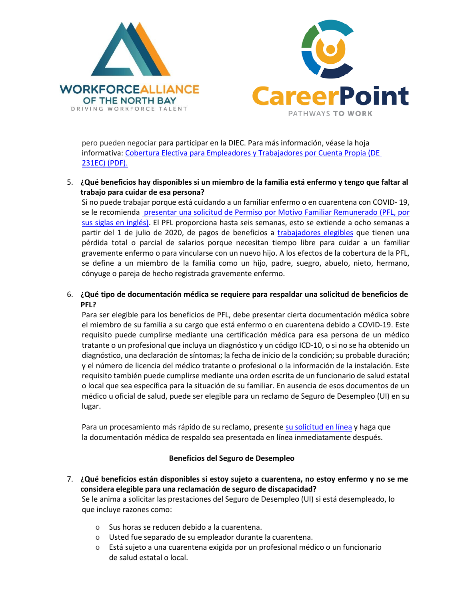



pero pueden negociar para participar en la DIEC. Para más información, véase la hoja informativa: [Cobertura Electiva para Empleadores y Trabajadores por Cuenta Propia](https://www.edd.ca.gov/pdf_pub_ctr/de231ec.pdf) (DE [231EC\) \(PDF\).](https://www.edd.ca.gov/pdf_pub_ctr/de231ec.pdf)

# 5. **¿Qué beneficios hay disponibles si un miembro de la familia está enfermo y tengo que faltar al trabajo para cuidar de esa persona?**

Si no puede trabajar porque está cuidando a un familiar enfermo o en cuarentena con COVID- 19, se le recomienda presentar una solicitud de Permiso por Motivo Familiar Remunerado (PFL, por [sus siglas en inglés\). El](https://www.edd.ca.gov/Disability/How_to_File_a_PFL_Claim_in_SDI_Online.htm) PFL proporciona hasta seis semanas, esto se extiende a ocho semanas a partir del 1 de julio de 2020, de pagos de beneficios a [trabajadores](https://www.edd.ca.gov/Disability/Am_I_Eligible_for_PFL_Benefits.htm) elegibles que tienen una pérdida total o parcial de salarios porque necesitan tiempo libre para cuidar a un familiar gravemente enfermo o para vincularse con un nuevo hijo. A los efectos de la cobertura de la PFL, se define a un miembro de la familia como un hijo, padre, suegro, abuelo, nieto, hermano, cónyuge o pareja de hecho registrada gravemente enfermo.

# 6. **¿Qué tipo de documentación médica se requiere para respaldar una solicitud de beneficios de PFL?**

Para ser elegible para los beneficios de PFL, debe presentar cierta documentación médica sobre el miembro de su familia a su cargo que está enfermo o en cuarentena debido a COVID-19. Este requisito puede cumplirse mediante una certificación médica para esa persona de un médico tratante o un profesional que incluya un diagnóstico y un código ICD-10, o si no se ha obtenido un diagnóstico, una declaración de síntomas; la fecha de inicio de la condición; su probable duración; y el número de licencia del médico tratante o profesional o la información de la instalación. Este requisito también puede cumplirse mediante una orden escrita de un funcionario de salud estatal o local que sea específica para la situación de su familiar. En ausencia de esos documentos de un médico u oficial de salud, puede ser elegible para un reclamo de Seguro de Desempleo (UI) en su lugar.

Para un procesamiento más rápido de su reclamo, present[e su solicitud](https://www.edd.ca.gov/Disability/SDI_Online.htm) en línea y haga que la documentación médica de respaldo sea presentada en línea inmediatamente después.

### **Beneficios del Seguro de Desempleo**

7. **¿Qué beneficios están disponibles si estoy sujeto a cuarentena, no estoy enfermo y no se me considera elegible para una reclamación de seguro de discapacidad?** Se le anima a solicitar las prestaciones del Seguro de Desempleo (UI) si está desempleado, lo que incluye razones como:

- o Sus horas se reducen debido a la cuarentena.
- o Usted fue separado de su empleador durante la cuarentena.
- o Está sujeto a una cuarentena exigida por un profesional médico o un funcionario de salud estatal o local.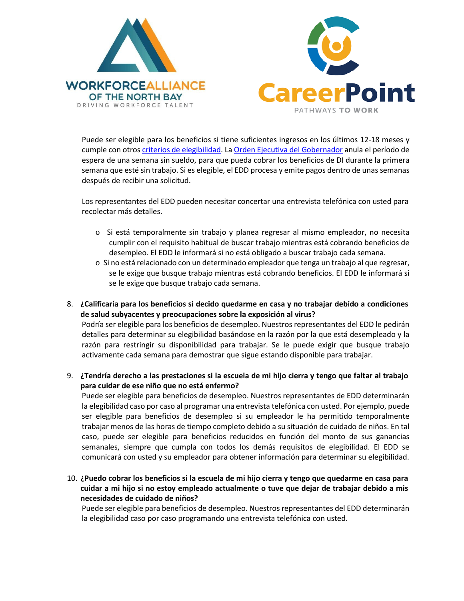



Puede ser elegible para los beneficios si tiene suficientes ingresos en los últimos 12-18 meses y cumple con otro[s criterios de elegibilidad.](https://www.edd.ca.gov/Unemployment/Eligibility.htm) La [Orden Ejecutiva del Gobernador](https://www.gov.ca.gov/2020/03/12/governor-newsom-issues-new-executive-order-further-enhancing-state-and-local-governments-ability-to-respond-to-covid-19-pandemic/) anula el período de espera de una semana sin sueldo, para que pueda cobrar los beneficios de DI durante la primera semana que esté sin trabajo. Si es elegible, el EDD procesa y emite pagos dentro de unas semanas después de recibir una solicitud.

Los representantes del EDD pueden necesitar concertar una entrevista telefónica con usted para recolectar más detalles.

- o Si está temporalmente sin trabajo y planea regresar al mismo empleador, no necesita cumplir con el requisito habitual de buscar trabajo mientras está cobrando beneficios de desempleo. El EDD le informará si no está obligado a buscar trabajo cada semana.
- o Si no está relacionado con un determinado empleador que tenga un trabajo al que regresar, se le exige que busque trabajo mientras está cobrando beneficios. El EDD le informará si se le exige que busque trabajo cada semana.
- 8. **¿Calificaría para los beneficios si decido quedarme en casa y no trabajar debido a condiciones de salud subyacentes y preocupaciones sobre la exposición al virus?** Podría ser elegible para los beneficios de desempleo. Nuestros representantes del EDD le pedirán detalles para determinar su elegibilidad basándose en la razón por la que está desempleado y la razón para restringir su disponibilidad para trabajar. Se le puede exigir que busque trabajo activamente cada semana para demostrar que sigue estando disponible para trabajar.
- 9. **¿Tendría derecho a las prestaciones si la escuela de mi hijo cierra y tengo que faltar al trabajo para cuidar de ese niño que no está enfermo?**

Puede ser elegible para beneficios de desempleo. Nuestros representantes de EDD determinarán la elegibilidad caso por caso al programar una entrevista telefónica con usted. Por ejemplo, puede ser elegible para beneficios de desempleo si su empleador le ha permitido temporalmente trabajar menos de las horas de tiempo completo debido a su situación de cuidado de niños. En tal caso, puede ser elegible para beneficios reducidos en función del monto de sus ganancias semanales, siempre que cumpla con todos los demás requisitos de elegibilidad. El EDD se comunicará con usted y su empleador para obtener información para determinar su elegibilidad.

10. **¿Puedo cobrar los beneficios si la escuela de mi hijo cierra y tengo que quedarme en casa para cuidar a mi hijo si no estoy empleado actualmente o tuve que dejar de trabajar debido a mis necesidades de cuidado de niños?**

Puede ser elegible para beneficios de desempleo. Nuestros representantes del EDD determinarán la elegibilidad caso por caso programando una entrevista telefónica con usted.